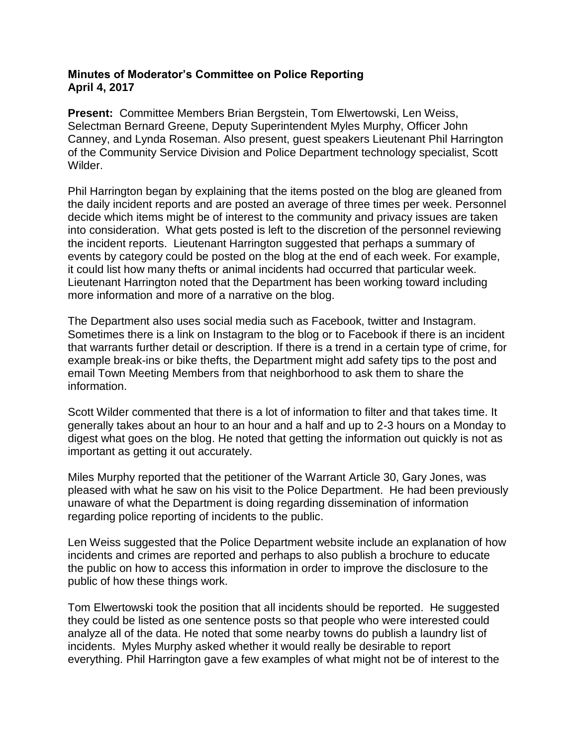## **Minutes of Moderator's Committee on Police Reporting April 4, 2017**

**Present:** Committee Members Brian Bergstein, Tom Elwertowski, Len Weiss, Selectman Bernard Greene, Deputy Superintendent Myles Murphy, Officer John Canney, and Lynda Roseman. Also present, guest speakers Lieutenant Phil Harrington of the Community Service Division and Police Department technology specialist, Scott Wilder.

Phil Harrington began by explaining that the items posted on the blog are gleaned from the daily incident reports and are posted an average of three times per week. Personnel decide which items might be of interest to the community and privacy issues are taken into consideration. What gets posted is left to the discretion of the personnel reviewing the incident reports. Lieutenant Harrington suggested that perhaps a summary of events by category could be posted on the blog at the end of each week. For example, it could list how many thefts or animal incidents had occurred that particular week. Lieutenant Harrington noted that the Department has been working toward including more information and more of a narrative on the blog.

The Department also uses social media such as Facebook, twitter and Instagram. Sometimes there is a link on Instagram to the blog or to Facebook if there is an incident that warrants further detail or description. If there is a trend in a certain type of crime, for example break-ins or bike thefts, the Department might add safety tips to the post and email Town Meeting Members from that neighborhood to ask them to share the information.

Scott Wilder commented that there is a lot of information to filter and that takes time. It generally takes about an hour to an hour and a half and up to 2-3 hours on a Monday to digest what goes on the blog. He noted that getting the information out quickly is not as important as getting it out accurately.

Miles Murphy reported that the petitioner of the Warrant Article 30, Gary Jones, was pleased with what he saw on his visit to the Police Department. He had been previously unaware of what the Department is doing regarding dissemination of information regarding police reporting of incidents to the public.

Len Weiss suggested that the Police Department website include an explanation of how incidents and crimes are reported and perhaps to also publish a brochure to educate the public on how to access this information in order to improve the disclosure to the public of how these things work.

Tom Elwertowski took the position that all incidents should be reported. He suggested they could be listed as one sentence posts so that people who were interested could analyze all of the data. He noted that some nearby towns do publish a laundry list of incidents. Myles Murphy asked whether it would really be desirable to report everything. Phil Harrington gave a few examples of what might not be of interest to the